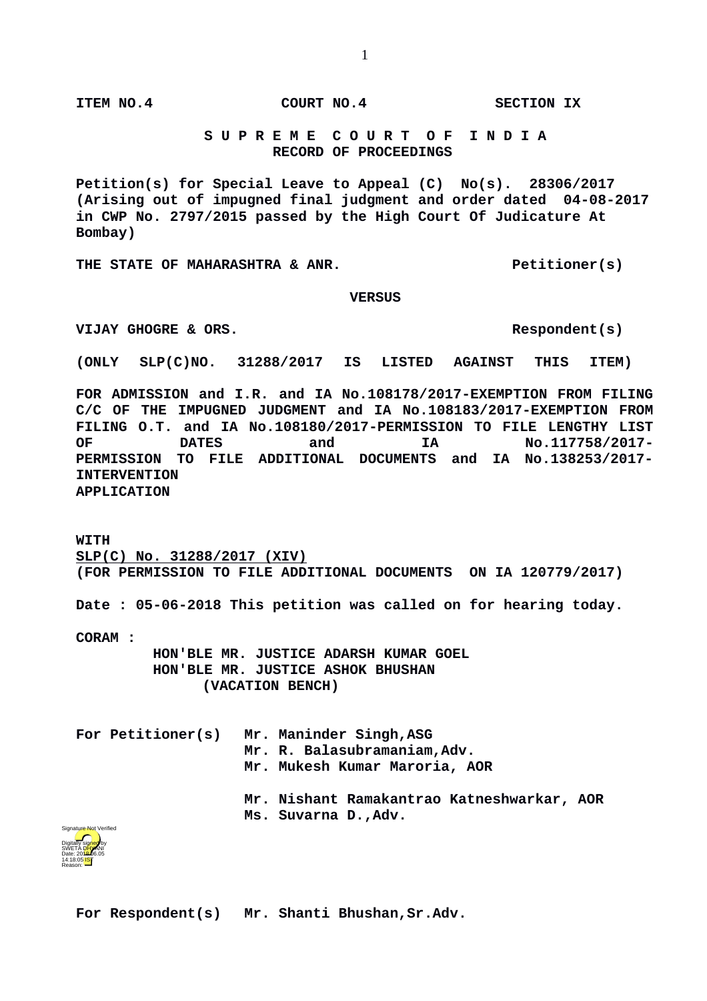**ITEM NO.4 COURT NO.4 SECTION IX**

## **S U P R E M E C O U R T O F I N D I A RECORD OF PROCEEDINGS**

**Petition(s) for Special Leave to Appeal (C) No(s). 28306/2017 (Arising out of impugned final judgment and order dated 04-08-2017 in CWP No. 2797/2015 passed by the High Court Of Judicature At Bombay)**

THE STATE OF MAHARASHTRA & ANR. Petitioner(s)

## **VERSUS**

VIJAY GHOGRE & ORS.

**(ONLY SLP(C)NO. 31288/2017 IS LISTED AGAINST THIS ITEM)** 

**FOR ADMISSION and I.R. and IA No.108178/2017-EXEMPTION FROM FILING C/C OF THE IMPUGNED JUDGMENT and IA No.108183/2017-EXEMPTION FROM FILING O.T. and IA No.108180/2017-PERMISSION TO FILE LENGTHY LIST OF DATES and IA No.117758/2017- PERMISSION TO FILE ADDITIONAL DOCUMENTS and IA No.138253/2017- INTERVENTION APPLICATION**

**WITH SLP(C) No. 31288/2017 (XIV) (FOR PERMISSION TO FILE ADDITIONAL DOCUMENTS ON IA 120779/2017)**

**Date : 05-06-2018 This petition was called on for hearing today.**

**CORAM :** 

 **HON'BLE MR. JUSTICE ADARSH KUMAR GOEL HON'BLE MR. JUSTICE ASHOK BHUSHAN (VACATION BENCH)**

|  | For Petitioner(s) Mr. Maninder Singh, ASG<br>Mr. R. Balasubramaniam, Adv.<br>Mr. Mukesh Kumar Maroria, AOR |
|--|------------------------------------------------------------------------------------------------------------|
|  | Mr. Nishant Ramakantrao Katneshwarkar, AOR<br>Ms. Suvarna D., Adv.                                         |



**For Respondent(s) Mr. Shanti Bhushan,Sr.Adv.**